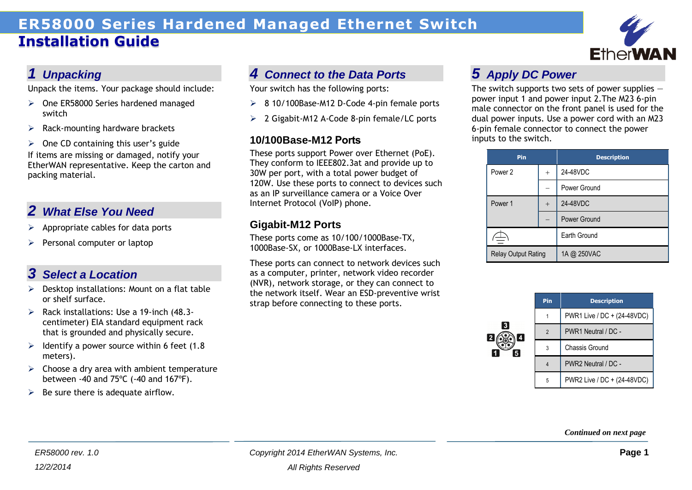# **ER58000 Series Hardened Managed Ethernet Switch Installation Guide**



### *1 Unpacking*

Unpack the items. Your package should include:

- $\triangleright$  One ER58000 Series hardened managed switch
- $\triangleright$  Rack-mounting hardware brackets

 $\geq$  One CD containing this user's guide If items are missing or damaged, notify your EtherWAN representative. Keep the carton and packing material.

### *2 What Else You Need*

- $\triangleright$  Appropriate cables for data ports
- $\triangleright$  Personal computer or laptop

# *3 Select a Location*

- $\triangleright$  Desktop installations: Mount on a flat table or shelf surface.
- $\triangleright$  Rack installations: Use a 19-inch (48.3centimeter) EIA standard equipment rack that is grounded and physically secure.
- $\geq$  Identify a power source within 6 feet (1.8) meters).
- $\triangleright$  Choose a dry area with ambient temperature between -40 and 75ºC (-40 and 167ºF).

#### $\triangleright$  Be sure there is adequate airflow.

# *4 Connect to the Data Ports*

Your switch has the following ports:

- 8 10/100Base-M12 D-Code 4-pin female ports
- 2 Gigabit-M12 A-Code 8-pin female/LC ports

#### **10/100Base-M12 Ports**

These ports support Power over Ethernet (PoE). They conform to IEEE802.3at and provide up to 30W per port, with a total power budget of 120W. Use these ports to connect to devices such as an IP surveillance camera or a Voice Over Internet Protocol (VoIP) phone.

#### **Gigabit-M12 Ports**

These ports come as 10/100/1000Base-TX, 1000Base-SX, or 1000Base-LX interfaces.

These ports can connect to network devices such as a computer, printer, network video recorder (NVR), network storage, or they can connect to the network itself. Wear an ESD-preventive wrist strap before connecting to these ports.

## *5 Apply DC Power*

The switch supports two sets of power supplies  $$ power input 1 and power input 2.The M23 6-pin male connector on the front panel is used for the dual power inputs. Use a power cord with an M23 6-pin female connector to connect the power inputs to the switch.

| Pin                        |        | <b>Description</b> |  |
|----------------------------|--------|--------------------|--|
| Power 2                    | $^{+}$ | 24-48VDC           |  |
|                            |        | Power Ground       |  |
| Power 1                    | $+$    | 24-48VDC           |  |
|                            |        | Power Ground       |  |
|                            |        | Earth Ground       |  |
| <b>Relay Output Rating</b> |        | 1A @ 250VAC        |  |

|         | Pin            | <b>Description</b>          |
|---------|----------------|-----------------------------|
|         |                | PWR1 Live / DC + (24-48VDC) |
| 3 <br>4 | $\overline{2}$ | PWR1 Neutral / DC -         |
| 5       | 3              | Chassis Ground              |
|         | 4              | PWR2 Neutral / DC -         |
|         | 5              | PWR2 Live / DC + (24-48VDC) |

*Continued on next page*